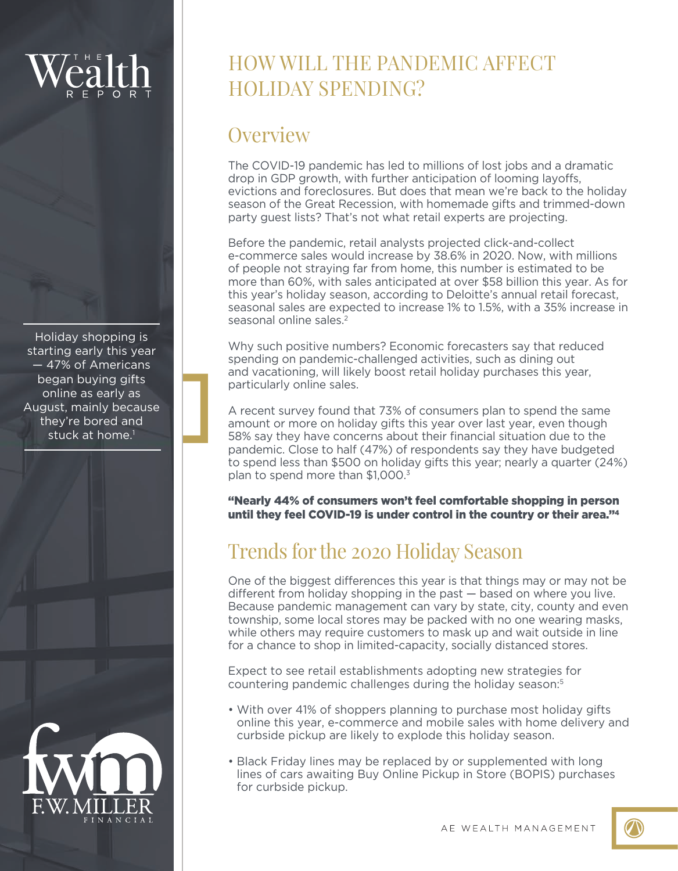Holiday shopping is starting early this year — 47% of Americans began buying gifts online as early as August, mainly because they're bored and stuck at home.<sup>1</sup>



## HOW WILL THE PANDEMIC AFFECT HOLIDAY SPENDING?

### **Overview**

The COVID-19 pandemic has led to millions of lost jobs and a dramatic drop in GDP growth, with further anticipation of looming layoffs, evictions and foreclosures. But does that mean we're back to the holiday season of the Great Recession, with homemade gifts and trimmed-down party guest lists? That's not what retail experts are projecting.

Before the pandemic, retail analysts projected click-and-collect e-commerce sales would increase by 38.6% in 2020. Now, with millions of people not straying far from home, this number is estimated to be more than 60%, with sales anticipated at over \$58 billion this year. As for this year's holiday season, according to Deloitte's annual retail forecast, seasonal sales are expected to increase 1% to 1.5%, with a 35% increase in seasonal online sales.2

Why such positive numbers? Economic forecasters say that reduced spending on pandemic-challenged activities, such as dining out and vacationing, will likely boost retail holiday purchases this year, particularly online sales.

A recent survey found that 73% of consumers plan to spend the same amount or more on holiday gifts this year over last year, even though 58% say they have concerns about their financial situation due to the pandemic. Close to half (47%) of respondents say they have budgeted to spend less than \$500 on holiday gifts this year; nearly a quarter (24%) plan to spend more than \$1,000.<sup>3</sup>

"Nearly 44% of consumers won't feel comfortable shopping in person until they feel COVID-19 is under control in the country or their area."4

## Trends for the 2020 Holiday Season

One of the biggest differences this year is that things may or may not be different from holiday shopping in the past — based on where you live. Because pandemic management can vary by state, city, county and even township, some local stores may be packed with no one wearing masks, while others may require customers to mask up and wait outside in line for a chance to shop in limited-capacity, socially distanced stores.

Expect to see retail establishments adopting new strategies for countering pandemic challenges during the holiday season:<sup>5</sup>

- With over 41% of shoppers planning to purchase most holiday gifts online this year, e-commerce and mobile sales with home delivery and curbside pickup are likely to explode this holiday season.
- Black Friday lines may be replaced by or supplemented with long lines of cars awaiting Buy Online Pickup in Store (BOPIS) purchases for curbside pickup.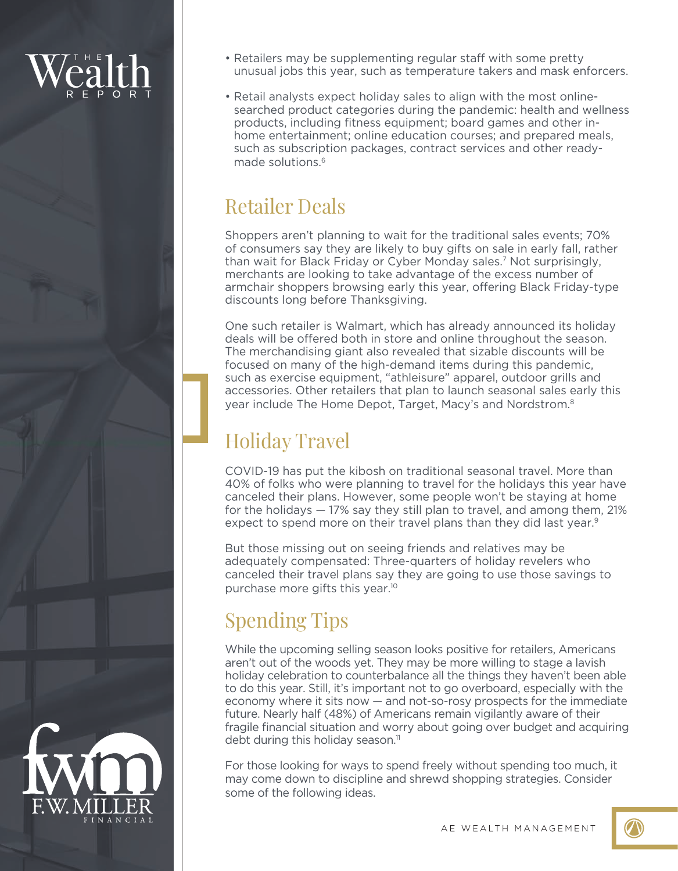- Retailers may be supplementing regular staff with some pretty unusual jobs this year, such as temperature takers and mask enforcers.
- Retail analysts expect holiday sales to align with the most onlinesearched product categories during the pandemic: health and wellness products, including fitness equipment; board games and other inhome entertainment; online education courses; and prepared meals, such as subscription packages, contract services and other readymade solutions.6

## Retailer Deals

Shoppers aren't planning to wait for the traditional sales events; 70% of consumers say they are likely to buy gifts on sale in early fall, rather than wait for Black Friday or Cyber Monday sales.7 Not surprisingly, merchants are looking to take advantage of the excess number of armchair shoppers browsing early this year, offering Black Friday-type discounts long before Thanksgiving.

One such retailer is Walmart, which has already announced its holiday deals will be offered both in store and online throughout the season. The merchandising giant also revealed that sizable discounts will be focused on many of the high-demand items during this pandemic, such as exercise equipment, "athleisure" apparel, outdoor grills and accessories. Other retailers that plan to launch seasonal sales early this year include The Home Depot, Target, Macy's and Nordstrom.8

## Holiday Travel

COVID-19 has put the kibosh on traditional seasonal travel. More than 40% of folks who were planning to travel for the holidays this year have canceled their plans. However, some people won't be staying at home for the holidays — 17% say they still plan to travel, and among them, 21% expect to spend more on their travel plans than they did last year.<sup>9</sup>

But those missing out on seeing friends and relatives may be adequately compensated: Three-quarters of holiday revelers who canceled their travel plans say they are going to use those savings to purchase more gifts this year.10

# Spending Tips

While the upcoming selling season looks positive for retailers, Americans aren't out of the woods yet. They may be more willing to stage a lavish holiday celebration to counterbalance all the things they haven't been able to do this year. Still, it's important not to go overboard, especially with the economy where it sits now — and not-so-rosy prospects for the immediate future. Nearly half (48%) of Americans remain vigilantly aware of their fragile financial situation and worry about going over budget and acquiring debt during this holiday season.<sup>11</sup>

For those looking for ways to spend freely without spending too much, it may come down to discipline and shrewd shopping strategies. Consider some of the following ideas.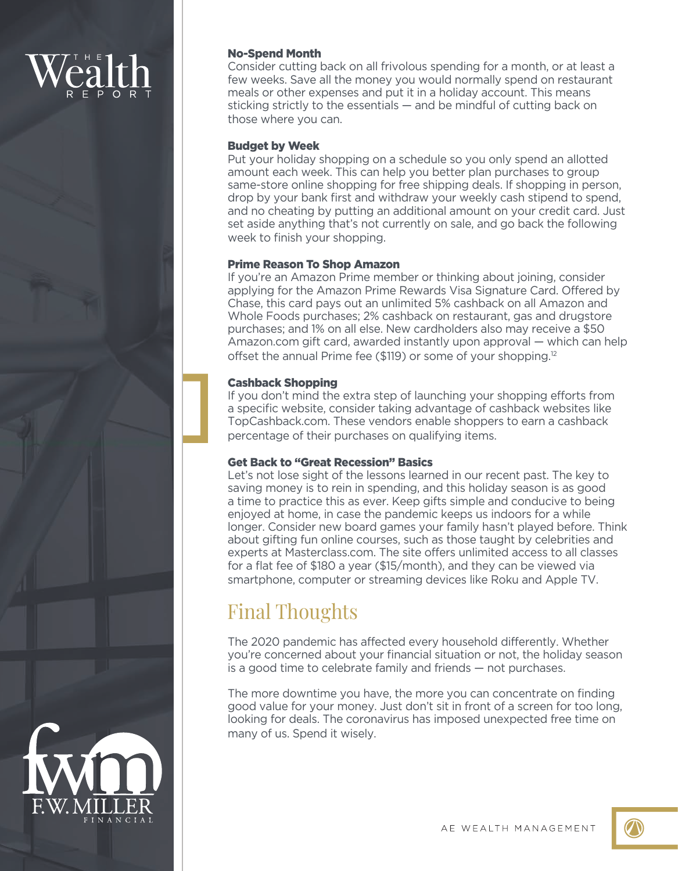### No-Spend Month

Consider cutting back on all frivolous spending for a month, or at least a few weeks. Save all the money you would normally spend on restaurant meals or other expenses and put it in a holiday account. This means sticking strictly to the essentials — and be mindful of cutting back on those where you can.

### Budget by Week

Put your holiday shopping on a schedule so you only spend an allotted amount each week. This can help you better plan purchases to group same-store online shopping for free shipping deals. If shopping in person, drop by your bank first and withdraw your weekly cash stipend to spend, and no cheating by putting an additional amount on your credit card. Just set aside anything that's not currently on sale, and go back the following week to finish your shopping.

### Prime Reason To Shop Amazon

If you're an Amazon Prime member or thinking about joining, consider applying for the Amazon Prime Rewards Visa Signature Card. Offered by Chase, this card pays out an unlimited 5% cashback on all Amazon and Whole Foods purchases; 2% cashback on restaurant, gas and drugstore purchases; and 1% on all else. New cardholders also may receive a \$50 Amazon.com gift card, awarded instantly upon approval — which can help offset the annual Prime fee (\$119) or some of your shopping.<sup>12</sup>

### Cashback Shopping

If you don't mind the extra step of launching your shopping efforts from a specific website, consider taking advantage of cashback websites like TopCashback.com. These vendors enable shoppers to earn a cashback percentage of their purchases on qualifying items.

### Get Back to "Great Recession" Basics

Let's not lose sight of the lessons learned in our recent past. The key to saving money is to rein in spending, and this holiday season is as good a time to practice this as ever. Keep gifts simple and conducive to being enjoyed at home, in case the pandemic keeps us indoors for a while longer. Consider new board games your family hasn't played before. Think about gifting fun online courses, such as those taught by celebrities and experts at Masterclass.com. The site offers unlimited access to all classes for a flat fee of \$180 a year (\$15/month), and they can be viewed via smartphone, computer or streaming devices like Roku and Apple TV.

## Final Thoughts

The 2020 pandemic has affected every household differently. Whether you're concerned about your financial situation or not, the holiday season is a good time to celebrate family and friends — not purchases.

The more downtime you have, the more you can concentrate on finding good value for your money. Just don't sit in front of a screen for too long, looking for deals. The coronavirus has imposed unexpected free time on many of us. Spend it wisely.